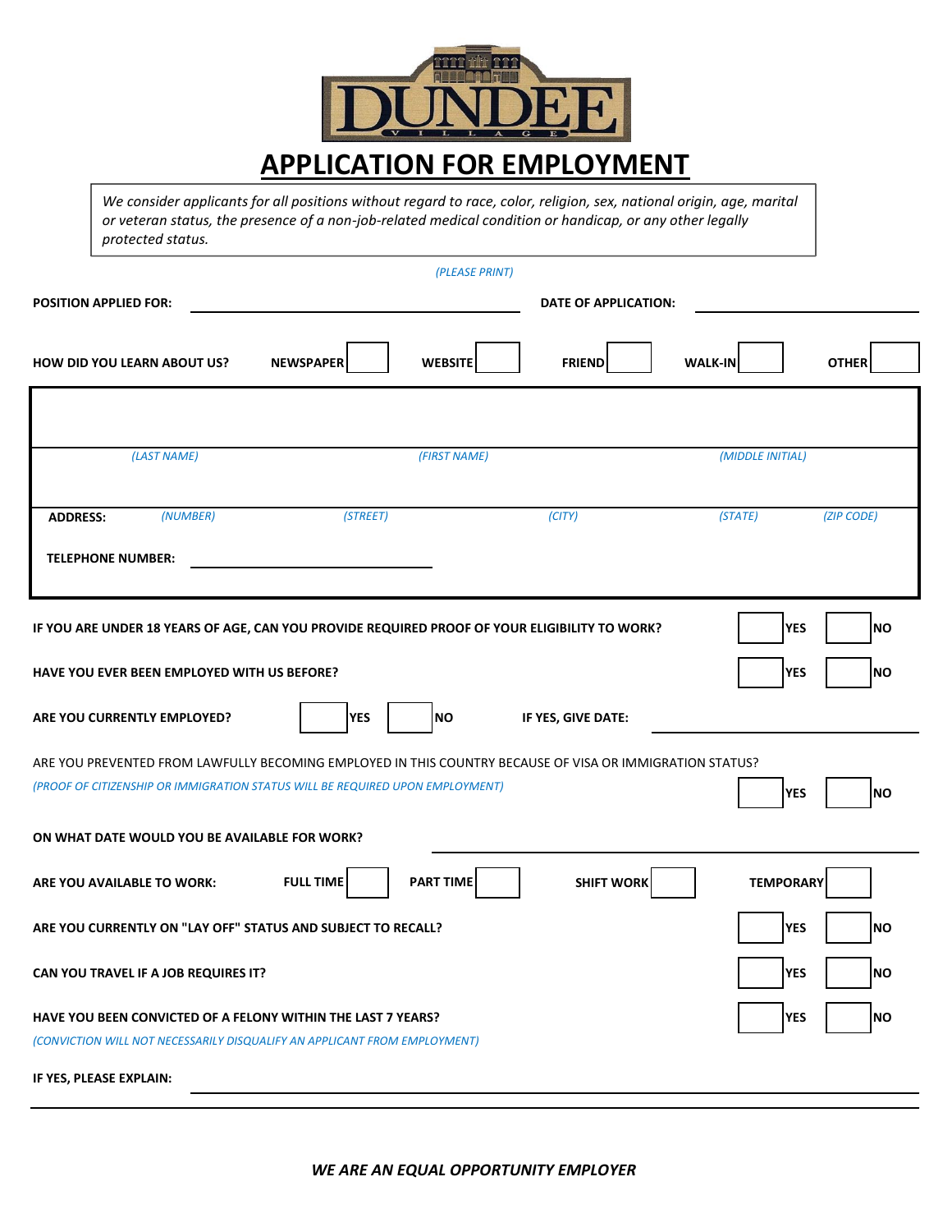

*We consider applicants for all positions without regard to race, color, religion, sex, national origin, age, marital or veteran status, the presence of a non-job-related medical condition or handicap, or any other legally protected status.* 

|                                                                                                                                                                                           |                                      | (PLEASE PRINT)              |                  |                   |
|-------------------------------------------------------------------------------------------------------------------------------------------------------------------------------------------|--------------------------------------|-----------------------------|------------------|-------------------|
| <b>POSITION APPLIED FOR:</b>                                                                                                                                                              |                                      | <b>DATE OF APPLICATION:</b> |                  |                   |
| <b>HOW DID YOU LEARN ABOUT US?</b>                                                                                                                                                        | <b>NEWSPAPER</b><br><b>WEBSITE</b>   | <b>FRIEND</b>               | <b>WALK-IN</b>   | <b>OTHER</b>      |
| (LAST NAME)                                                                                                                                                                               | (FIRST NAME)                         |                             | (MIDDLE INITIAL) |                   |
| (NUMBER)<br><b>ADDRESS:</b>                                                                                                                                                               | (STREET)                             | (CITY)                      | (STATE)          | (ZIP CODE)        |
| <b>TELEPHONE NUMBER:</b>                                                                                                                                                                  |                                      |                             |                  |                   |
| IF YOU ARE UNDER 18 YEARS OF AGE, CAN YOU PROVIDE REQUIRED PROOF OF YOUR ELIGIBILITY TO WORK?                                                                                             |                                      |                             |                  | <b>YES</b><br> NO |
| HAVE YOU EVER BEEN EMPLOYED WITH US BEFORE?                                                                                                                                               |                                      |                             |                  | <b>YES</b><br> NO |
| ARE YOU CURRENTLY EMPLOYED?                                                                                                                                                               | <b>YES</b><br> NO                    | IF YES, GIVE DATE:          |                  |                   |
| ARE YOU PREVENTED FROM LAWFULLY BECOMING EMPLOYED IN THIS COUNTRY BECAUSE OF VISA OR IMMIGRATION STATUS?<br>(PROOF OF CITIZENSHIP OR IMMIGRATION STATUS WILL BE REQUIRED UPON EMPLOYMENT) |                                      |                             |                  | Ino<br><b>YES</b> |
| ON WHAT DATE WOULD YOU BE AVAILABLE FOR WORK?                                                                                                                                             |                                      |                             |                  |                   |
| <b>ARE YOU AVAILABLE TO WORK:</b>                                                                                                                                                         | <b>FULL TIME</b><br><b>PART TIME</b> | <b>SHIFT WORK</b>           | <b>TEMPORARY</b> |                   |

**ARE YOU CURRENTLY ON "LAY OFF" STATUS AND SUBJECT TO RECALL? WESPITED AND AND SUBJECT TO RECALL?** 

**CAN YOU TRAVEL IF A JOB REQUIRES IT? WESPITE: WESPITE: WESPITE: WESPITE: WESPITE: WESPITE: WESPITE: WESPITE: WESPITE: WESPITE: WESPITE: WESPITE: WESPITE: WESPITE: WESPITE: WESPITE: WESPIT** 

**HAVE YOU BEEN CONVICTED OF A FELONY WITHIN THE LAST 7 YEARS? WES WES NO** 

*(CONVICTION WILL NOT NECESSARILY DISQUALIFY AN APPLICANT FROM EMPLOYMENT)*

**IF YES, PLEASE EXPLAIN:**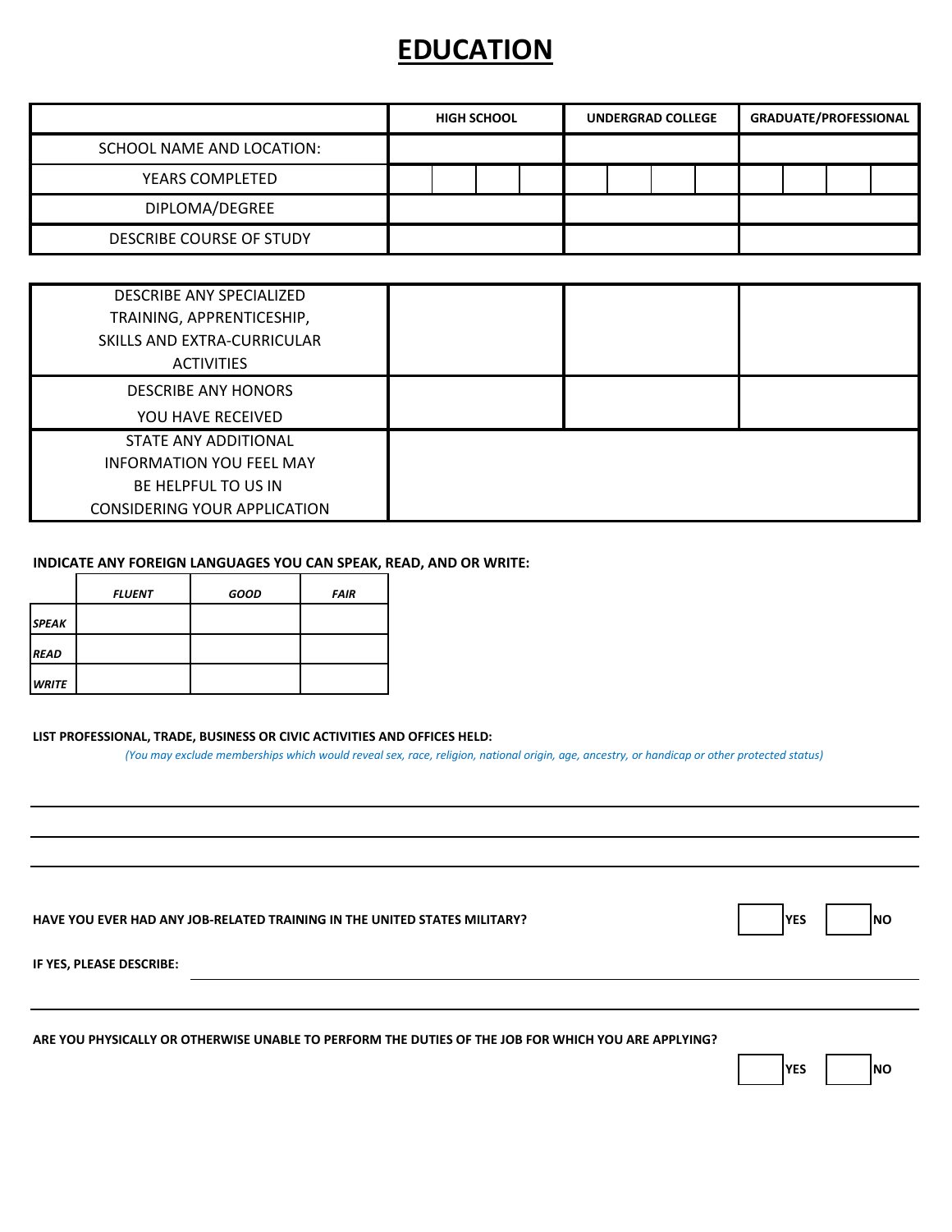## **EDUCATION**

|                           | <b>HIGH SCHOOL</b> |  | <b>UNDERGRAD COLLEGE</b> |  | <b>GRADUATE/PROFESSIONAL</b> |  |  |  |  |
|---------------------------|--------------------|--|--------------------------|--|------------------------------|--|--|--|--|
| SCHOOL NAME AND LOCATION: |                    |  |                          |  |                              |  |  |  |  |
| YEARS COMPLETED           |                    |  |                          |  |                              |  |  |  |  |
| DIPLOMA/DEGREE            |                    |  |                          |  |                              |  |  |  |  |
| DESCRIBE COURSE OF STUDY  |                    |  |                          |  |                              |  |  |  |  |

| DESCRIBE ANY SPECIALIZED<br>TRAINING, APPRENTICESHIP,<br>SKILLS AND EXTRA-CURRICULAR<br><b>ACTIVITIES</b>      |  |  |
|----------------------------------------------------------------------------------------------------------------|--|--|
| <b>DESCRIBE ANY HONORS</b><br>YOU HAVE RECEIVED                                                                |  |  |
| STATE ANY ADDITIONAL<br><b>INFORMATION YOU FEEL MAY</b><br>BE HELPFUL TO US IN<br>CONSIDERING YOUR APPLICATION |  |  |

#### **INDICATE ANY FOREIGN LANGUAGES YOU CAN SPEAK, READ, AND OR WRITE:**

|                      | <b>FLUENT</b> | <b>GOOD</b> | <b>FAIR</b> |
|----------------------|---------------|-------------|-------------|
| <b>SPEAK</b>         |               |             |             |
| <b>IREAD</b>         |               |             |             |
| <i><b>LWRITE</b></i> |               |             |             |

### **LIST PROFESSIONAL, TRADE, BUSINESS OR CIVIC ACTIVITIES AND OFFICES HELD:**

*(You may exclude memberships which would reveal sex, race, religion, national origin, age, ancestry, or handicap or other protected status)*

| HAVE YOU EVER HAD ANY JOB-RELATED TRAINING IN THE UNITED STATES MILITARY? | YE. |  | INO |
|---------------------------------------------------------------------------|-----|--|-----|
|---------------------------------------------------------------------------|-----|--|-----|

| ۰, |  |  |
|----|--|--|
|    |  |  |

**IF YES, PLEASE DESCRIBE:**

**ARE YOU PHYSICALLY OR OTHERWISE UNABLE TO PERFORM THE DUTIES OF THE JOB FOR WHICH YOU ARE APPLYING?**

|  | ٧F۲ |  | INO |
|--|-----|--|-----|
|--|-----|--|-----|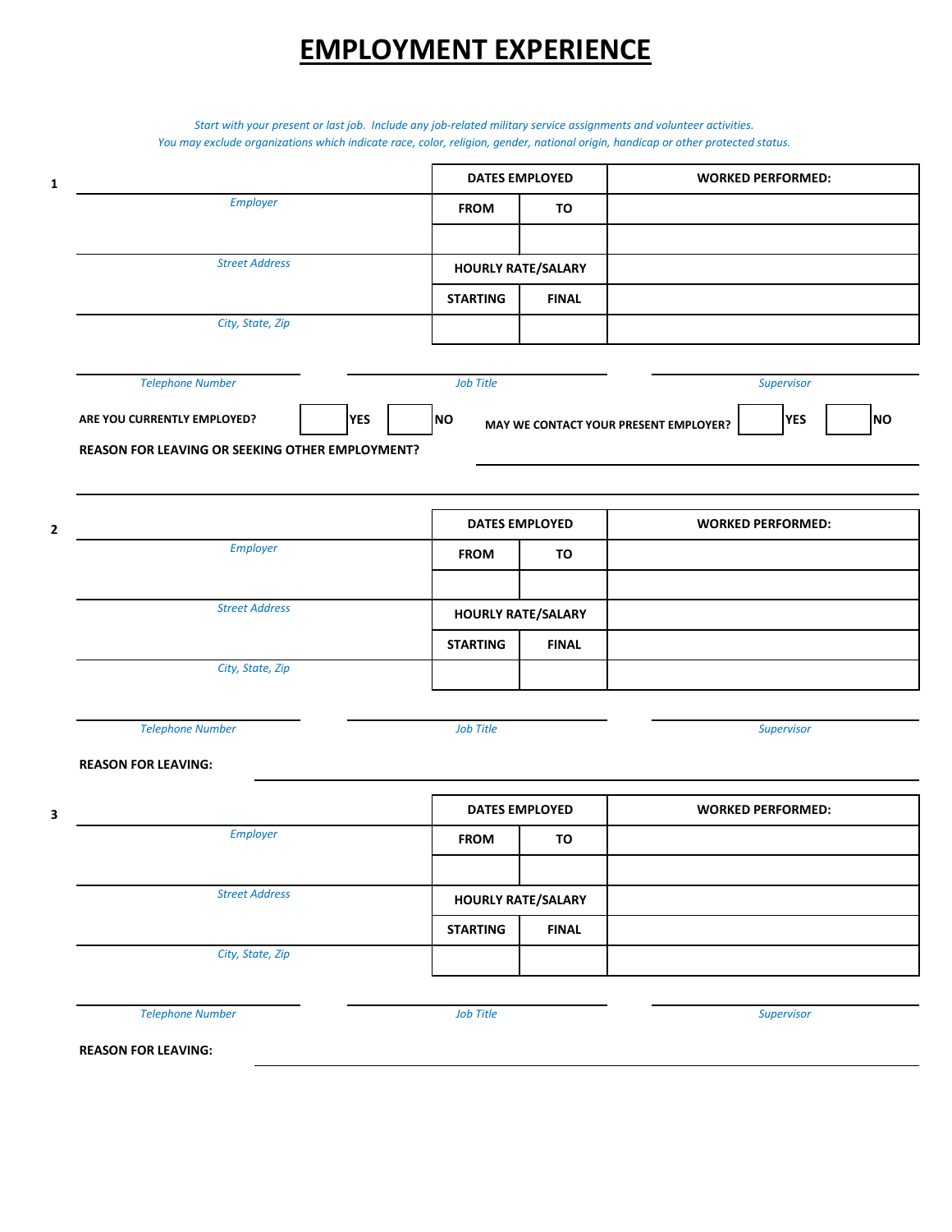# **EMPLOYMENT EXPERIENCE**

*You may exclude organizations which indicate race, color, religion, gender, national origin, handicap or other protected status. Start with your present or last job. Include any job-related military service assignments and volunteer activities.*

| $\mathbf{1}$                                    |            | <b>DATES EMPLOYED</b> |                           | <b>WORKED PERFORMED:</b>                                         |  |
|-------------------------------------------------|------------|-----------------------|---------------------------|------------------------------------------------------------------|--|
| Employer                                        |            | <b>FROM</b>           | TO                        |                                                                  |  |
|                                                 |            |                       |                           |                                                                  |  |
| <b>Street Address</b>                           |            |                       | <b>HOURLY RATE/SALARY</b> |                                                                  |  |
|                                                 |            | <b>STARTING</b>       | <b>FINAL</b>              |                                                                  |  |
| City, State, Zip                                |            |                       |                           |                                                                  |  |
| <b>Telephone Number</b>                         |            | Job Title             |                           | Supervisor                                                       |  |
| ARE YOU CURRENTLY EMPLOYED?                     | <b>YES</b> | NO                    |                           | <b>YES</b><br><b>NO</b><br>MAY WE CONTACT YOUR PRESENT EMPLOYER? |  |
| REASON FOR LEAVING OR SEEKING OTHER EMPLOYMENT? |            |                       |                           |                                                                  |  |
|                                                 |            |                       |                           |                                                                  |  |
| $\mathbf{2}$                                    |            | <b>DATES EMPLOYED</b> |                           | <b>WORKED PERFORMED:</b>                                         |  |
| Employer                                        |            | <b>FROM</b>           | TO                        |                                                                  |  |
|                                                 |            |                       |                           |                                                                  |  |
| <b>Street Address</b>                           |            |                       | <b>HOURLY RATE/SALARY</b> |                                                                  |  |
|                                                 |            | <b>STARTING</b>       | <b>FINAL</b>              |                                                                  |  |
| City, State, Zip                                |            |                       |                           |                                                                  |  |
|                                                 |            |                       |                           |                                                                  |  |
| <b>Telephone Number</b>                         |            | Job Title             |                           | Supervisor                                                       |  |
| <b>REASON FOR LEAVING:</b>                      |            |                       |                           |                                                                  |  |
| 3                                               |            | <b>DATES EMPLOYED</b> |                           | <b>WORKED PERFORMED:</b>                                         |  |
| Employer                                        |            | <b>FROM</b>           | TO                        |                                                                  |  |
|                                                 |            |                       |                           |                                                                  |  |
| <b>Street Address</b>                           |            |                       | <b>HOURLY RATE/SALARY</b> |                                                                  |  |
|                                                 |            | <b>STARTING</b>       | <b>FINAL</b>              |                                                                  |  |
| City, State, Zip                                |            |                       |                           |                                                                  |  |
| <b>Telephone Number</b>                         |            | Job Title             |                           | Supervisor                                                       |  |
| <b>REASON FOR LEAVING:</b>                      |            |                       |                           |                                                                  |  |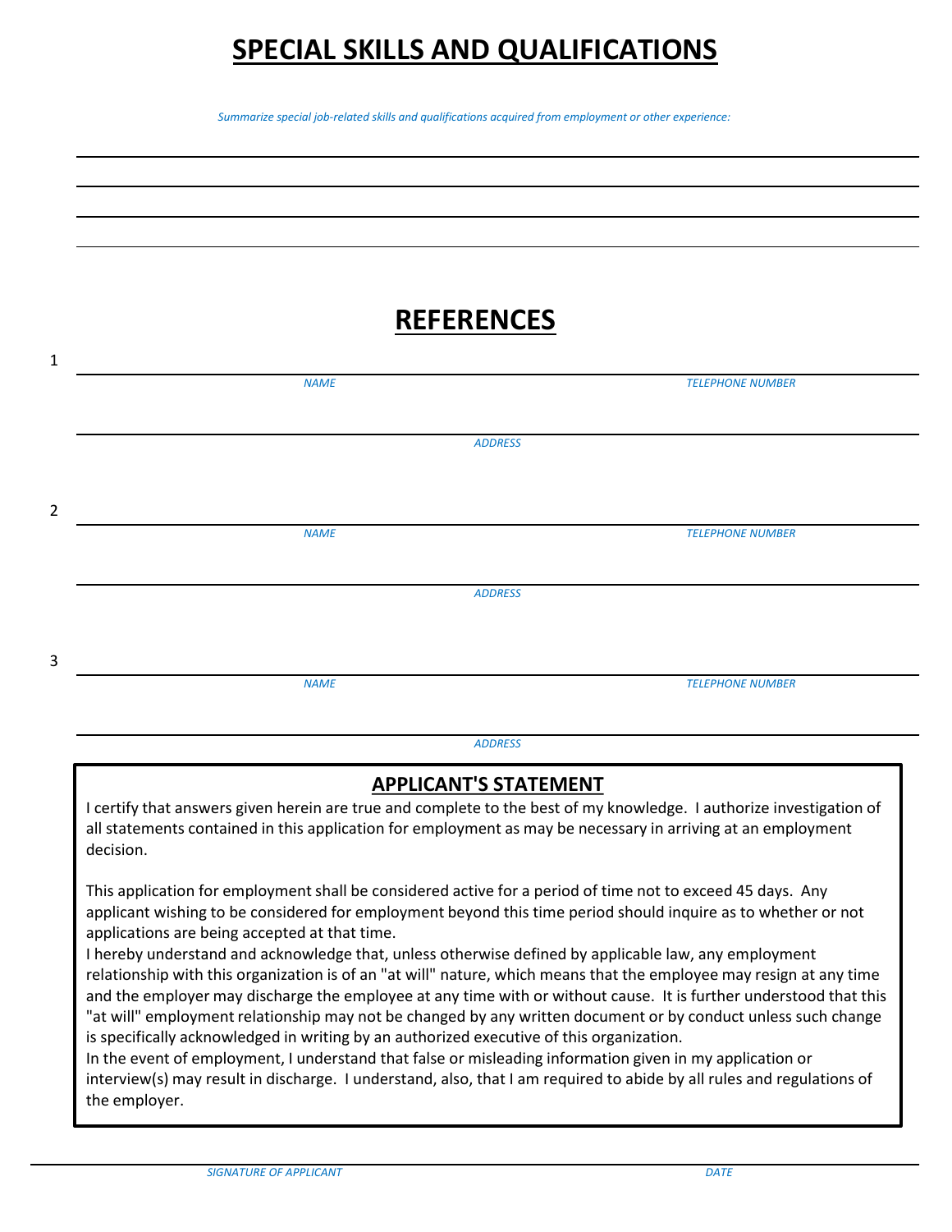# **SPECIAL SKILLS AND QUALIFICATIONS**

*Summarize special job-related skills and qualifications acquired from employment or other experience:*

# **REFERENCES**

| 1 |             |                |                         |  |
|---|-------------|----------------|-------------------------|--|
|   | <b>NAME</b> |                | <b>TELEPHONE NUMBER</b> |  |
|   |             |                |                         |  |
|   |             |                |                         |  |
|   |             | <b>ADDRESS</b> |                         |  |
|   |             |                |                         |  |
|   |             |                |                         |  |
| 2 |             |                |                         |  |
|   | <b>NAME</b> |                | <b>TELEPHONE NUMBER</b> |  |
|   |             |                |                         |  |
|   |             |                |                         |  |
|   |             | <b>ADDRESS</b> |                         |  |
|   |             |                |                         |  |
|   |             |                |                         |  |
| 3 |             |                |                         |  |
|   | <b>NAME</b> |                | <b>TELEPHONE NUMBER</b> |  |
|   |             |                |                         |  |
|   |             |                |                         |  |

*ADDRESS*

### **APPLICANT'S STATEMENT**

I certify that answers given herein are true and complete to the best of my knowledge. I authorize investigation of all statements contained in this application for employment as may be necessary in arriving at an employment decision.

This application for employment shall be considered active for a period of time not to exceed 45 days. Any applicant wishing to be considered for employment beyond this time period should inquire as to whether or not applications are being accepted at that time.

I hereby understand and acknowledge that, unless otherwise defined by applicable law, any employment relationship with this organization is of an "at will" nature, which means that the employee may resign at any time and the employer may discharge the employee at any time with or without cause. It is further understood that this "at will" employment relationship may not be changed by any written document or by conduct unless such change is specifically acknowledged in writing by an authorized executive of this organization.

In the event of employment, I understand that false or misleading information given in my application or interview(s) may result in discharge. I understand, also, that I am required to abide by all rules and regulations of the employer.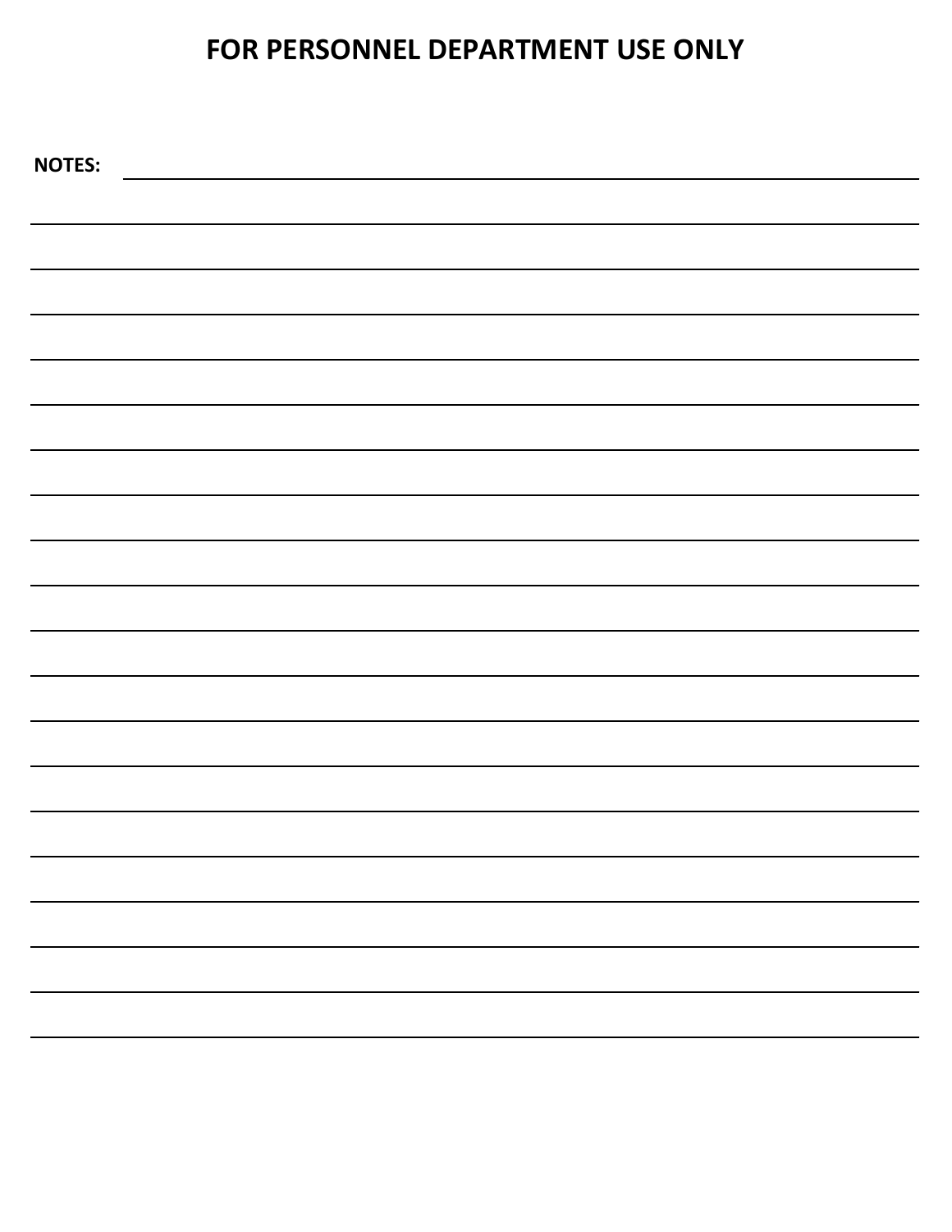# **FOR PERSONNEL DEPARTMENT USE ONLY**

| <b>NOTES:</b> |  |
|---------------|--|
|               |  |
|               |  |
|               |  |
|               |  |
|               |  |
|               |  |
|               |  |
|               |  |
|               |  |
|               |  |
|               |  |
|               |  |
|               |  |
|               |  |
|               |  |
|               |  |
|               |  |
|               |  |
|               |  |
|               |  |